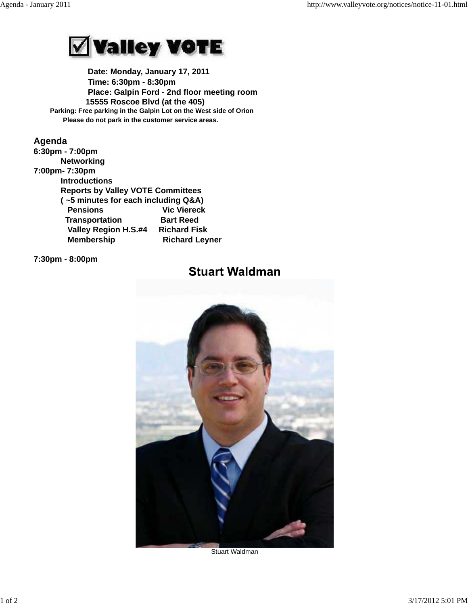

 **Date: Monday, January 17, 2011 Time: 6:30pm - 8:30pm Place: Galpin Ford - 2nd floor meeting room 15555 Roscoe Blvd (at the 405) Parking: Free parking in the Galpin Lot on the West side of Orion Please do not park in the customer service areas.**

## **Agenda**

**6:30pm - 7:00pm Networking 7:00pm- 7:30pm Introductions Reports by Valley VOTE Committees ( ~5 minutes for each including Q&A) Pensions Vic Viereck Transportation Bart Reed Valley Region H.S.#4 Richard Fisk Membership Richard Leyner** 

## **7:30pm - 8:00pm**

# **Stuart Waldman**



Stuart Waldman